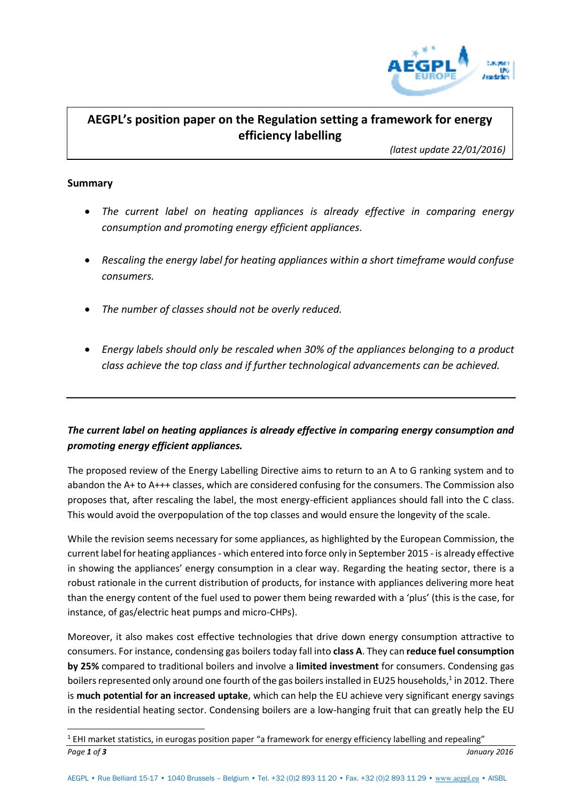

# **AEGPL's position paper on the Regulation setting a framework for energy efficiency labelling**

*(latest update 22/01/2016)* 

### **Summary**

 $\overline{a}$ 

- *The current label on heating appliances is already effective in comparing energy consumption and promoting energy efficient appliances.*
- *Rescaling the energy label for heating appliances within a short timeframe would confuse consumers.*
- *The number of classes should not be overly reduced.*
- *Energy labels should only be rescaled when 30% of the appliances belonging to a product class achieve the top class and if further technological advancements can be achieved.*

## *The current label on heating appliances is already effective in comparing energy consumption and promoting energy efficient appliances.*

The proposed review of the Energy Labelling Directive aims to return to an A to G ranking system and to abandon the A+ to A+++ classes, which are considered confusing for the consumers. The Commission also proposes that, after rescaling the label, the most energy-efficient appliances should fall into the C class. This would avoid the overpopulation of the top classes and would ensure the longevity of the scale.

While the revision seems necessary for some appliances, as highlighted by the European Commission, the current label for heating appliances - which entered into force only in September 2015 - is already effective in showing the appliances' energy consumption in a clear way. Regarding the heating sector, there is a robust rationale in the current distribution of products, for instance with appliances delivering more heat than the energy content of the fuel used to power them being rewarded with a 'plus' (this is the case, for instance, of gas/electric heat pumps and micro-CHPs).

Moreover, it also makes cost effective technologies that drive down energy consumption attractive to consumers. For instance, condensing gas boilers today fall into **class A**. They can **reduce fuel consumption by 25%** compared to traditional boilers and involve a **limited investment** for consumers. Condensing gas boilers represented only around one fourth of the gas boilers installed in EU25 households, $^1$  in 2012. There is **much potential for an increased uptake**, which can help the EU achieve very significant energy savings in the residential heating sector. Condensing boilers are a low-hanging fruit that can greatly help the EU

*Page 1 of 3 January 2016*  $1$  EHI market statistics, in eurogas position paper "a framework for energy efficiency labelling and repealing"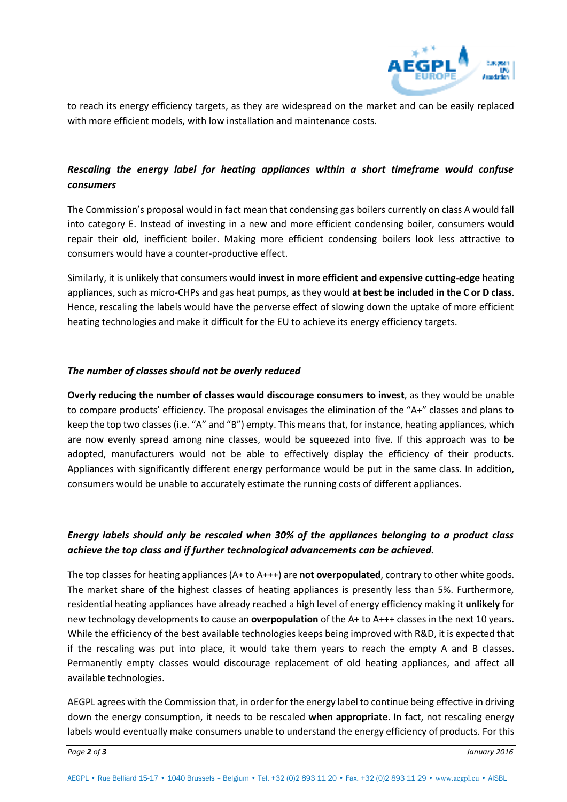

to reach its energy efficiency targets, as they are widespread on the market and can be easily replaced with more efficient models, with low installation and maintenance costs.

# *Rescaling the energy label for heating appliances within a short timeframe would confuse consumers*

The Commission's proposal would in fact mean that condensing gas boilers currently on class A would fall into category E. Instead of investing in a new and more efficient condensing boiler, consumers would repair their old, inefficient boiler. Making more efficient condensing boilers look less attractive to consumers would have a counter-productive effect.

Similarly, it is unlikely that consumers would **invest in more efficient and expensive cutting-edge** heating appliances, such as micro-CHPs and gas heat pumps, as they would **at best be included in the C or D class**. Hence, rescaling the labels would have the perverse effect of slowing down the uptake of more efficient heating technologies and make it difficult for the EU to achieve its energy efficiency targets.

### *The number of classes should not be overly reduced*

**Overly reducing the number of classes would discourage consumers to invest**, as they would be unable to compare products' efficiency. The proposal envisages the elimination of the "A+" classes and plans to keep the top two classes (i.e. "A" and "B") empty. This means that, for instance, heating appliances, which are now evenly spread among nine classes, would be squeezed into five. If this approach was to be adopted, manufacturers would not be able to effectively display the efficiency of their products. Appliances with significantly different energy performance would be put in the same class. In addition, consumers would be unable to accurately estimate the running costs of different appliances.

## *Energy labels should only be rescaled when 30% of the appliances belonging to a product class achieve the top class and if further technological advancements can be achieved.*

The top classes for heating appliances (A+ to A+++) are **not overpopulated**, contrary to other white goods. The market share of the highest classes of heating appliances is presently less than 5%. Furthermore, residential heating appliances have already reached a high level of energy efficiency making it **unlikely** for new technology developments to cause an **overpopulation** of the A+ to A+++ classes in the next 10 years. While the efficiency of the best available technologies keeps being improved with R&D, it is expected that if the rescaling was put into place, it would take them years to reach the empty A and B classes. Permanently empty classes would discourage replacement of old heating appliances, and affect all available technologies.

AEGPL agrees with the Commission that, in order for the energy label to continue being effective in driving down the energy consumption, it needs to be rescaled **when appropriate**. In fact, not rescaling energy labels would eventually make consumers unable to understand the energy efficiency of products. For this